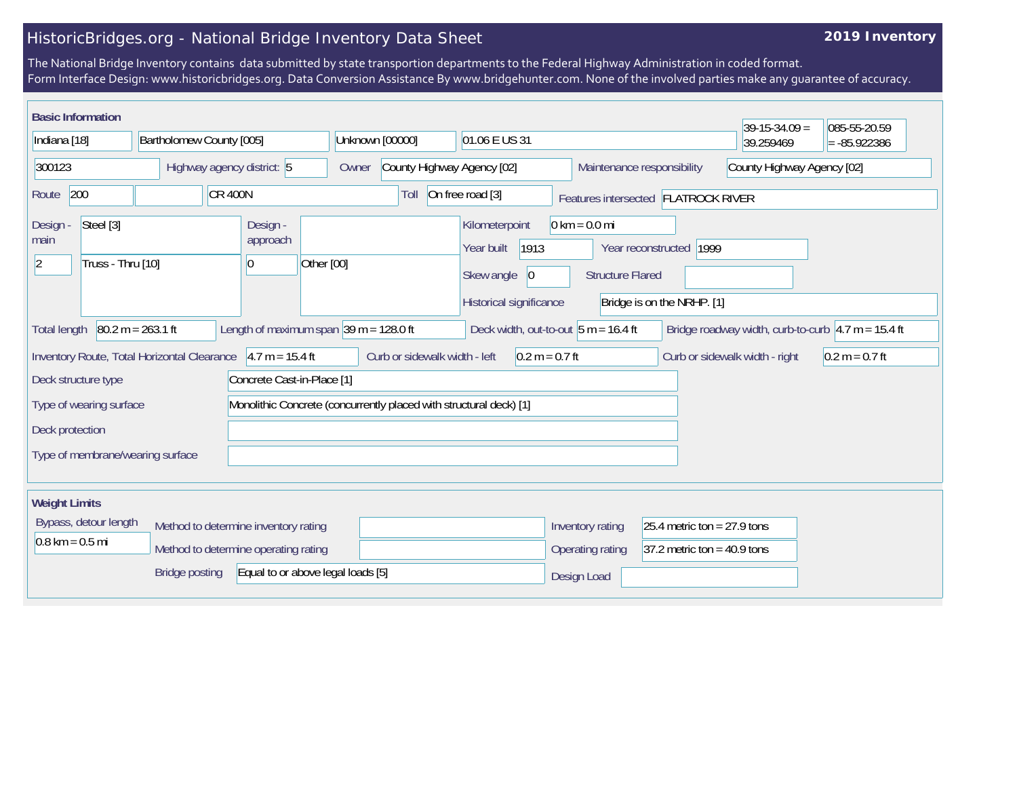## HistoricBridges.org - National Bridge Inventory Data Sheet

## **2019 Inventory**

The National Bridge Inventory contains data submitted by state transportion departments to the Federal Highway Administration in coded format. Form Interface Design: www.historicbridges.org. Data Conversion Assistance By www.bridgehunter.com. None of the involved parties make any guarantee of accuracy.

| <b>Basic Information</b>                                                                                                                                                                                                         |                                      |                                                      |                                                                    |                                                                                      |                                                            |                                                       | $39-15-34.09 =$ | 085-55-20.59 |  |
|----------------------------------------------------------------------------------------------------------------------------------------------------------------------------------------------------------------------------------|--------------------------------------|------------------------------------------------------|--------------------------------------------------------------------|--------------------------------------------------------------------------------------|------------------------------------------------------------|-------------------------------------------------------|-----------------|--------------|--|
| Indiana [18]<br>Bartholomew County [005]                                                                                                                                                                                         |                                      | Unknown [00000]<br>01.06 E US 31                     |                                                                    |                                                                                      |                                                            | 39.259469                                             | $= -85.922386$  |              |  |
| 300123<br>Highway agency district: 5                                                                                                                                                                                             |                                      | County Highway Agency [02]<br>Owner                  | County Highway Agency [02]<br>Maintenance responsibility           |                                                                                      |                                                            |                                                       |                 |              |  |
| 200<br>$CR$ 400N<br>Route                                                                                                                                                                                                        |                                      |                                                      | Toll                                                               | On free road [3]                                                                     |                                                            | Features intersected FLATROCK RIVER                   |                 |              |  |
| Steel [3]<br>Design -<br>main<br>Truss - Thru [10]<br> 2                                                                                                                                                                         |                                      | Design -<br>approach<br>Other [00]<br>$\overline{0}$ |                                                                    | Kilometerpoint<br>1913<br>Year built<br>Skew angle<br> 0 <br>Historical significance | $0 \text{ km} = 0.0 \text{ mi}$<br><b>Structure Flared</b> | Year reconstructed 1999<br>Bridge is on the NRHP. [1] |                 |              |  |
| $80.2 m = 263.1 ft$<br>Length of maximum span $ 39 \text{ m} = 128.0 \text{ ft} $<br>Deck width, out-to-out $5 m = 16.4 ft$<br>Bridge roadway width, curb-to-curb $\vert 4.7 \text{ m} = 15.4 \text{ ft}$<br><b>Total length</b> |                                      |                                                      |                                                                    |                                                                                      |                                                            |                                                       |                 |              |  |
| Curb or sidewalk width - left<br>Inventory Route, Total Horizontal Clearance<br>$4.7 m = 15.4 ft$<br>$0.2 m = 0.7 ft$<br>Curb or sidewalk width - right<br>$0.2 m = 0.7 ft$                                                      |                                      |                                                      |                                                                    |                                                                                      |                                                            |                                                       |                 |              |  |
| Deck structure type<br>Concrete Cast-in-Place [1]                                                                                                                                                                                |                                      |                                                      |                                                                    |                                                                                      |                                                            |                                                       |                 |              |  |
| Type of wearing surface                                                                                                                                                                                                          |                                      |                                                      | Monolithic Concrete (concurrently placed with structural deck) [1] |                                                                                      |                                                            |                                                       |                 |              |  |
| Deck protection                                                                                                                                                                                                                  |                                      |                                                      |                                                                    |                                                                                      |                                                            |                                                       |                 |              |  |
| Type of membrane/wearing surface                                                                                                                                                                                                 |                                      |                                                      |                                                                    |                                                                                      |                                                            |                                                       |                 |              |  |
| <b>Weight Limits</b>                                                                                                                                                                                                             |                                      |                                                      |                                                                    |                                                                                      |                                                            |                                                       |                 |              |  |
| Bypass, detour length                                                                                                                                                                                                            | Method to determine inventory rating |                                                      |                                                                    |                                                                                      | Inventory rating                                           | 25.4 metric ton = $27.9$ tons                         |                 |              |  |
| $0.8 \text{ km} = 0.5 \text{ mi}$                                                                                                                                                                                                |                                      | Method to determine operating rating                 |                                                                    |                                                                                      | Operating rating                                           | 37.2 metric ton = $40.9$ tons                         |                 |              |  |
|                                                                                                                                                                                                                                  | <b>Bridge posting</b>                | Equal to or above legal loads [5]                    |                                                                    |                                                                                      | Design Load                                                |                                                       |                 |              |  |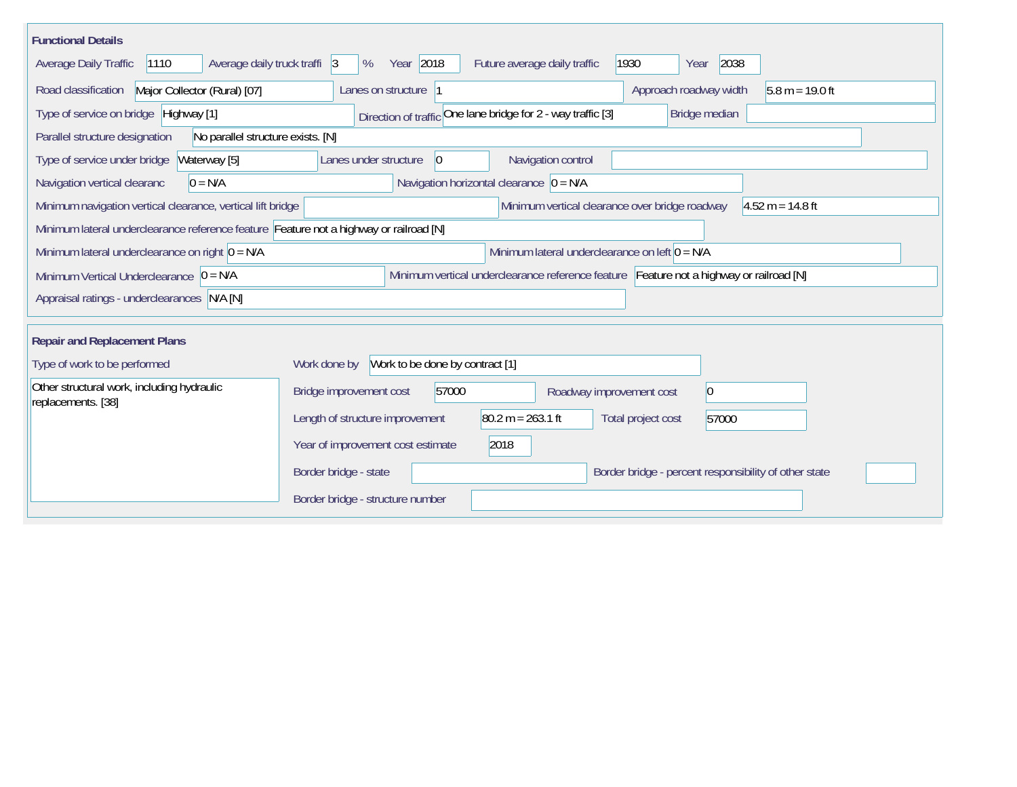| <b>Functional Details</b>                                                                             |                                                                                         |  |  |  |  |  |  |
|-------------------------------------------------------------------------------------------------------|-----------------------------------------------------------------------------------------|--|--|--|--|--|--|
| 1110<br>Average daily truck traffi 3<br>Average Daily Traffic                                         | Year 2018<br>1930<br>2038<br>%<br>Future average daily traffic<br>Year                  |  |  |  |  |  |  |
| Major Collector (Rural) [07]<br>Road classification                                                   | Approach roadway width<br>$5.8 m = 19.0 ft$<br>Lanes on structure 1                     |  |  |  |  |  |  |
| Type of service on bridge Highway [1]                                                                 | Direction of traffic One lane bridge for 2 - way traffic [3]<br>Bridge median           |  |  |  |  |  |  |
| Parallel structure designation<br>No parallel structure exists. [N]                                   |                                                                                         |  |  |  |  |  |  |
| Waterway [5]<br>Type of service under bridge                                                          | Navigation control<br>Lanes under structure<br>$\vert 0 \vert$                          |  |  |  |  |  |  |
| $0 = N/A$<br>Navigation vertical clearanc                                                             | Navigation horizontal clearance $ 0 = N/A $                                             |  |  |  |  |  |  |
| Minimum navigation vertical clearance, vertical lift bridge                                           | Minimum vertical clearance over bridge roadway<br>$4.52 m = 14.8 ft$                    |  |  |  |  |  |  |
| Minimum lateral underclearance reference feature Feature not a highway or railroad [N]                |                                                                                         |  |  |  |  |  |  |
| Minimum lateral underclearance on left $0 = N/A$<br>Minimum lateral underclearance on right $0 = N/A$ |                                                                                         |  |  |  |  |  |  |
| Minimum Vertical Underclearance $ 0 = N/A$                                                            | Minimum vertical underclearance reference feature Feature not a highway or railroad [N] |  |  |  |  |  |  |
| Appraisal ratings - underclearances N/A [N]                                                           |                                                                                         |  |  |  |  |  |  |
|                                                                                                       |                                                                                         |  |  |  |  |  |  |
| <b>Repair and Replacement Plans</b>                                                                   |                                                                                         |  |  |  |  |  |  |
| Type of work to be performed                                                                          | Work to be done by contract [1]<br>Work done by                                         |  |  |  |  |  |  |
| Other structural work, including hydraulic<br>replacements. [38]                                      | Bridge improvement cost<br>57000<br>$\vert 0 \vert$<br>Roadway improvement cost         |  |  |  |  |  |  |
|                                                                                                       | $80.2 m = 263.1 ft$<br>Length of structure improvement<br>Total project cost<br>57000   |  |  |  |  |  |  |
|                                                                                                       | 2018<br>Year of improvement cost estimate                                               |  |  |  |  |  |  |
|                                                                                                       | Border bridge - state<br>Border bridge - percent responsibility of other state          |  |  |  |  |  |  |
|                                                                                                       | Border bridge - structure number                                                        |  |  |  |  |  |  |